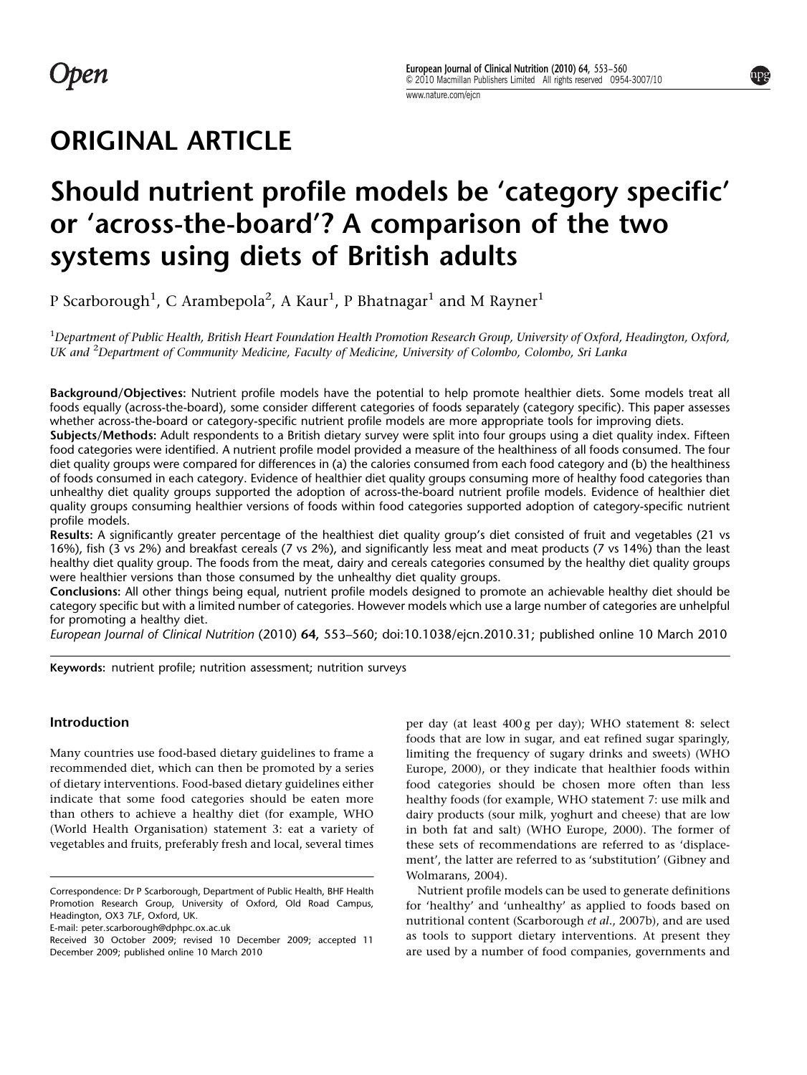# ORIGINAL ARTICLE

# Should nutrient profile models be 'category specific' or 'across-the-board'? A comparison of the two systems using diets of British adults

P Scarborough $^1$ , C Arambepola $^2$ , A Kaur $^1$ , P Bhatnagar $^1$  and M Rayner $^1$ 

 $^1$ Department of Public Health, British Heart Foundation Health Promotion Research Group, University of Oxford, Headington, Oxford, UK and <sup>2</sup>Department of Community Medicine, Faculty of Medicine, University of Colombo, Colombo, Sri Lanka

Background/Objectives: Nutrient profile models have the potential to help promote healthier diets. Some models treat all foods equally (across-the-board), some consider different categories of foods separately (category specific). This paper assesses whether across-the-board or category-specific nutrient profile models are more appropriate tools for improving diets.

Subjects/Methods: Adult respondents to a British dietary survey were split into four groups using a diet quality index. Fifteen food categories were identified. A nutrient profile model provided a measure of the healthiness of all foods consumed. The four diet quality groups were compared for differences in (a) the calories consumed from each food category and (b) the healthiness of foods consumed in each category. Evidence of healthier diet quality groups consuming more of healthy food categories than unhealthy diet quality groups supported the adoption of across-the-board nutrient profile models. Evidence of healthier diet quality groups consuming healthier versions of foods within food categories supported adoption of category-specific nutrient profile models.

Results: A significantly greater percentage of the healthiest diet quality group's diet consisted of fruit and vegetables (21 vs 16%), fish (3 vs 2%) and breakfast cereals (7 vs 2%), and significantly less meat and meat products (7 vs 14%) than the least healthy diet quality group. The foods from the meat, dairy and cereals categories consumed by the healthy diet quality groups were healthier versions than those consumed by the unhealthy diet quality groups.

Conclusions: All other things being equal, nutrient profile models designed to promote an achievable healthy diet should be category specific but with a limited number of categories. However models which use a large number of categories are unhelpful for promoting a healthy diet.

European Journal of Clinical Nutrition (2010) 64, 553–560; doi[:10.1038/ejcn.2010.31](http://dx.doi.org/10.1038/ejcn.2010.31); published online 10 March 2010

Keywords: nutrient profile; nutrition assessment; nutrition surveys

### Introduction

Many countries use food-based dietary guidelines to frame a recommended diet, which can then be promoted by a series of dietary interventions. Food-based dietary guidelines either indicate that some food categories should be eaten more than others to achieve a healthy diet (for example, WHO (World Health Organisation) statement 3: eat a variety of vegetables and fruits, preferably fresh and local, several times

E-mail: [peter.scarborough@dphpc.ox.ac.uk](mailto:peter.scarborough@dphpc.ox.ac.uk)

per day (at least 400 g per day); WHO statement 8: select foods that are low in sugar, and eat refined sugar sparingly, limiting the frequency of sugary drinks and sweets) [\(WHO](#page-7-0) [Europe, 2000\)](#page-7-0), or they indicate that healthier foods within food categories should be chosen more often than less healthy foods (for example, WHO statement 7: use milk and dairy products (sour milk, yoghurt and cheese) that are low in both fat and salt) ([WHO Europe, 2000\)](#page-7-0). The former of these sets of recommendations are referred to as 'displacement', the latter are referred to as 'substitution' ([Gibney and](#page-6-0) [Wolmarans, 2004](#page-6-0)).

Nutrient profile models can be used to generate definitions for 'healthy' and 'unhealthy' as applied to foods based on nutritional content ([Scarborough](#page-7-0) et al., 2007b), and are used as tools to support dietary interventions. At present they are used by a number of food companies, governments and

Correspondence: Dr P Scarborough, Department of Public Health, BHF Health Promotion Research Group, University of Oxford, Old Road Campus, Headington, OX3 7LF, Oxford, UK.

Received 30 October 2009; revised 10 December 2009; accepted 11 December 2009; published online 10 March 2010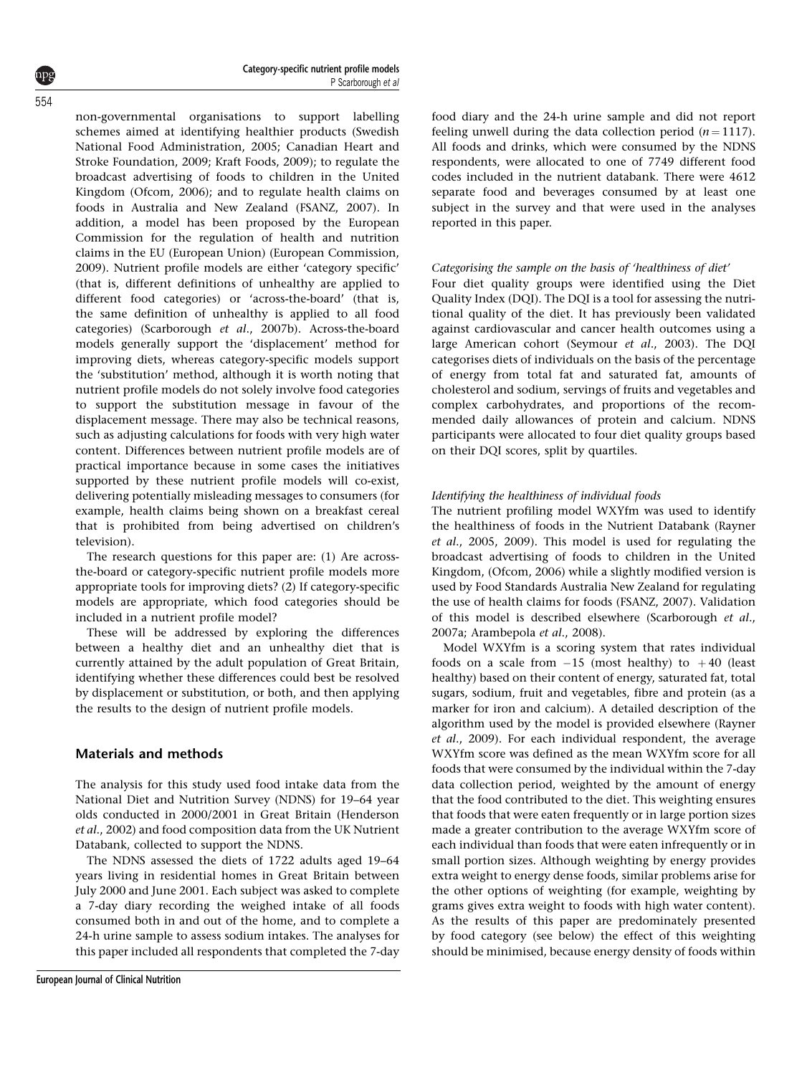non-governmental organisations to support labelling schemes aimed at identifying healthier products ([Swedish](#page-7-0) [National Food Administration, 2005;](#page-7-0) [Canadian Heart and](#page-6-0) [Stroke Foundation, 2009; Kraft Foods, 2009](#page-6-0)); to regulate the broadcast advertising of foods to children in the United Kingdom [\(Ofcom, 2006\)](#page-7-0); and to regulate health claims on foods in Australia and New Zealand [\(FSANZ, 2007](#page-6-0)). In addition, a model has been proposed by the European Commission for the regulation of health and nutrition claims in the EU (European Union) ([European Commission,](#page-6-0) [2009](#page-6-0)). Nutrient profile models are either 'category specific' (that is, different definitions of unhealthy are applied to different food categories) or 'across-the-board' (that is, the same definition of unhealthy is applied to all food categories) ([Scarborough](#page-7-0) et al., 2007b). Across-the-board models generally support the 'displacement' method for improving diets, whereas category-specific models support the 'substitution' method, although it is worth noting that nutrient profile models do not solely involve food categories to support the substitution message in favour of the displacement message. There may also be technical reasons, such as adjusting calculations for foods with very high water content. Differences between nutrient profile models are of practical importance because in some cases the initiatives supported by these nutrient profile models will co-exist, delivering potentially misleading messages to consumers (for example, health claims being shown on a breakfast cereal that is prohibited from being advertised on children's television).

The research questions for this paper are: (1) Are acrossthe-board or category-specific nutrient profile models more appropriate tools for improving diets? (2) If category-specific models are appropriate, which food categories should be included in a nutrient profile model?

These will be addressed by exploring the differences between a healthy diet and an unhealthy diet that is currently attained by the adult population of Great Britain, identifying whether these differences could best be resolved by displacement or substitution, or both, and then applying the results to the design of nutrient profile models.

## Materials and methods

The analysis for this study used food intake data from the National Diet and Nutrition Survey (NDNS) for 19–64 year olds conducted in 2000/2001 in Great Britain ([Henderson](#page-6-0) et al[., 2002\)](#page-6-0) and food composition data from the UK Nutrient Databank, collected to support the NDNS.

The NDNS assessed the diets of 1722 adults aged 19–64 years living in residential homes in Great Britain between July 2000 and June 2001. Each subject was asked to complete a 7-day diary recording the weighed intake of all foods consumed both in and out of the home, and to complete a 24-h urine sample to assess sodium intakes. The analyses for this paper included all respondents that completed the 7-day food diary and the 24-h urine sample and did not report feeling unwell during the data collection period  $(n = 1117)$ . All foods and drinks, which were consumed by the NDNS respondents, were allocated to one of 7749 different food codes included in the nutrient databank. There were 4612 separate food and beverages consumed by at least one subject in the survey and that were used in the analyses reported in this paper.

#### Categorising the sample on the basis of 'healthiness of diet'

Four diet quality groups were identified using the Diet Quality Index (DQI). The DQI is a tool for assessing the nutritional quality of the diet. It has previously been validated against cardiovascular and cancer health outcomes using a large American cohort [\(Seymour](#page-7-0) et al., 2003). The DQI categorises diets of individuals on the basis of the percentage of energy from total fat and saturated fat, amounts of cholesterol and sodium, servings of fruits and vegetables and complex carbohydrates, and proportions of the recommended daily allowances of protein and calcium. NDNS participants were allocated to four diet quality groups based on their DQI scores, split by quartiles.

#### Identifying the healthiness of individual foods

The nutrient profiling model WXYfm was used to identify the healthiness of foods in the Nutrient Databank [\(Rayner](#page-7-0) et al[., 2005, 2009\)](#page-7-0). This model is used for regulating the broadcast advertising of foods to children in the United Kingdom, [\(Ofcom, 2006\)](#page-7-0) while a slightly modified version is used by Food Standards Australia New Zealand for regulating the use of health claims for foods ([FSANZ, 2007\)](#page-6-0). Validation of this model is described elsewhere [\(Scarborough](#page-7-0) et al., [2007a;](#page-7-0) [Arambepola](#page-6-0) et al., 2008).

Model WXYfm is a scoring system that rates individual foods on a scale from  $-15$  (most healthy) to  $+40$  (least healthy) based on their content of energy, saturated fat, total sugars, sodium, fruit and vegetables, fibre and protein (as a marker for iron and calcium). A detailed description of the algorithm used by the model is provided elsewhere [\(Rayner](#page-7-0) et al[., 2009](#page-7-0)). For each individual respondent, the average WXYfm score was defined as the mean WXYfm score for all foods that were consumed by the individual within the 7-day data collection period, weighted by the amount of energy that the food contributed to the diet. This weighting ensures that foods that were eaten frequently or in large portion sizes made a greater contribution to the average WXYfm score of each individual than foods that were eaten infrequently or in small portion sizes. Although weighting by energy provides extra weight to energy dense foods, similar problems arise for the other options of weighting (for example, weighting by grams gives extra weight to foods with high water content). As the results of this paper are predominately presented by food category (see below) the effect of this weighting should be minimised, because energy density of foods within

554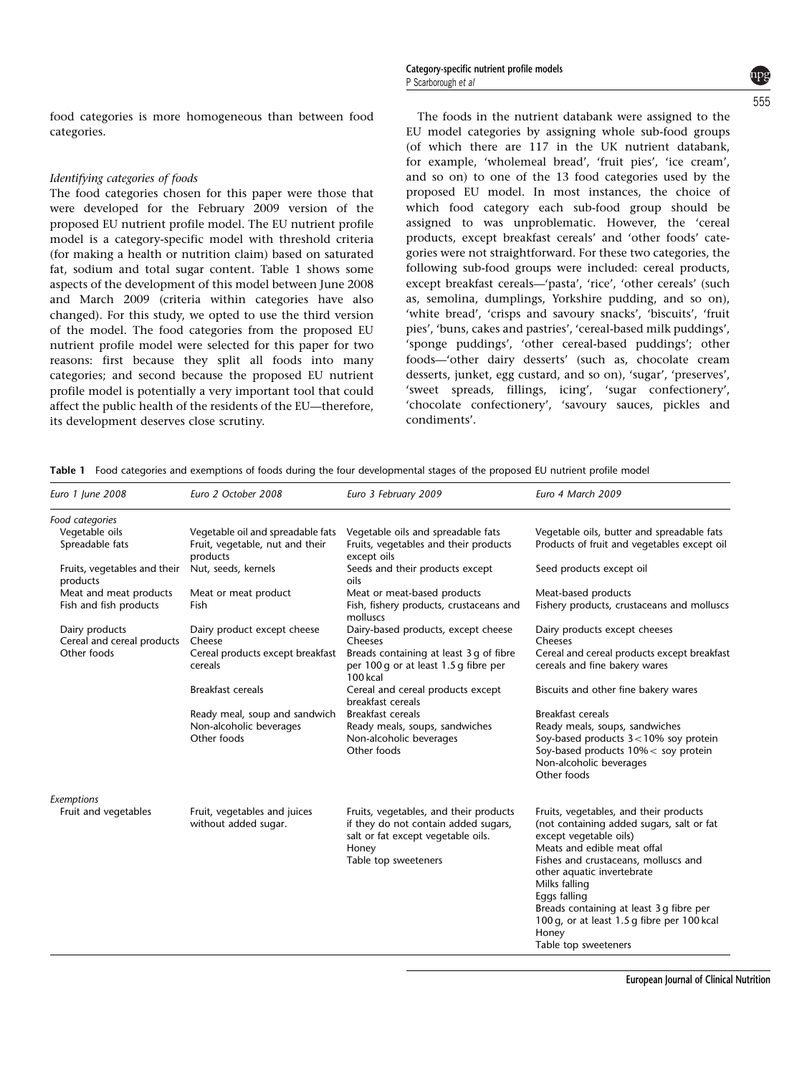food categories is more homogeneous than between food categories.

#### Identifying categories of foods

The food categories chosen for this paper were those that were developed for the February 2009 version of the proposed EU nutrient profile model. The EU nutrient profile model is a category-specific model with threshold criteria (for making a health or nutrition claim) based on saturated fat, sodium and total sugar content. Table 1 shows some aspects of the development of this model between June 2008 and March 2009 (criteria within categories have also changed). For this study, we opted to use the third version of the model. The food categories from the proposed EU nutrient profile model were selected for this paper for two reasons: first because they split all foods into many categories; and second because the proposed EU nutrient profile model is potentially a very important tool that could affect the public health of the residents of the EU—therefore, its development deserves close scrutiny.

The foods in the nutrient databank were assigned to the EU model categories by assigning whole sub-food groups (of which there are 117 in the UK nutrient databank, for example, 'wholemeal bread', 'fruit pies', 'ice cream', and so on) to one of the 13 food categories used by the proposed EU model. In most instances, the choice of which food category each sub-food group should be assigned to was unproblematic. However, the 'cereal products, except breakfast cereals' and 'other foods' categories were not straightforward. For these two categories, the following sub-food groups were included: cereal products, except breakfast cereals—'pasta', 'rice', 'other cereals' (such as, semolina, dumplings, Yorkshire pudding, and so on), 'white bread', 'crisps and savoury snacks', 'biscuits', 'fruit pies', 'buns, cakes and pastries', 'cereal-based milk puddings', 'sponge puddings', 'other cereal-based puddings'; other foods—'other dairy desserts' (such as, chocolate cream desserts, junket, egg custard, and so on), 'sugar', 'preserves', 'sweet spreads, fillings, icing', 'sugar confectionery', 'chocolate confectionery', 'savoury sauces, pickles and condiments'.

Table 1 Food categories and exemptions of foods during the four developmental stages of the proposed EU nutrient profile model

| Euro 1 June 2008                             | Euro 2 October 2008                                                              | Euro 3 February 2009                                                                                                                                  | Euro 4 March 2009                                                                                                                                                                                                                                                                                                                                                               |
|----------------------------------------------|----------------------------------------------------------------------------------|-------------------------------------------------------------------------------------------------------------------------------------------------------|---------------------------------------------------------------------------------------------------------------------------------------------------------------------------------------------------------------------------------------------------------------------------------------------------------------------------------------------------------------------------------|
| Food categories                              |                                                                                  |                                                                                                                                                       |                                                                                                                                                                                                                                                                                                                                                                                 |
| Vegetable oils<br>Spreadable fats            | Vegetable oil and spreadable fats<br>Fruit, vegetable, nut and their<br>products | Vegetable oils and spreadable fats<br>Fruits, vegetables and their products<br>except oils                                                            | Vegetable oils, butter and spreadable fats<br>Products of fruit and vegetables except oil                                                                                                                                                                                                                                                                                       |
| Fruits, vegetables and their<br>products     | Nut, seeds, kernels                                                              | Seeds and their products except<br>oils                                                                                                               | Seed products except oil                                                                                                                                                                                                                                                                                                                                                        |
| Meat and meat products                       | Meat or meat product                                                             | Meat or meat-based products                                                                                                                           | Meat-based products                                                                                                                                                                                                                                                                                                                                                             |
| Fish and fish products                       | Fish                                                                             | Fish, fishery products, crustaceans and<br>molluscs                                                                                                   | Fishery products, crustaceans and molluscs                                                                                                                                                                                                                                                                                                                                      |
| Dairy products<br>Cereal and cereal products | Dairy product except cheese<br>Cheese                                            | Dairy-based products, except cheese<br>Cheeses                                                                                                        | Dairy products except cheeses<br>Cheeses                                                                                                                                                                                                                                                                                                                                        |
| Other foods                                  | Cereal products except breakfast<br>cereals                                      | Breads containing at least 3 g of fibre<br>per 100 g or at least 1.5 g fibre per<br>100 kcal                                                          | Cereal and cereal products except breakfast<br>cereals and fine bakery wares                                                                                                                                                                                                                                                                                                    |
|                                              | <b>Breakfast cereals</b>                                                         | Cereal and cereal products except<br>breakfast cereals                                                                                                | Biscuits and other fine bakery wares                                                                                                                                                                                                                                                                                                                                            |
|                                              | Ready meal, soup and sandwich<br>Non-alcoholic beverages<br>Other foods          | <b>Breakfast cereals</b><br>Ready meals, soups, sandwiches<br>Non-alcoholic beverages<br>Other foods                                                  | <b>Breakfast cereals</b><br>Ready meals, soups, sandwiches<br>Soy-based products 3<10% soy protein<br>Soy-based products 10% < soy protein<br>Non-alcoholic beverages<br>Other foods                                                                                                                                                                                            |
| Exemptions                                   |                                                                                  |                                                                                                                                                       |                                                                                                                                                                                                                                                                                                                                                                                 |
| Fruit and vegetables                         | Fruit, vegetables and juices<br>without added sugar.                             | Fruits, vegetables, and their products<br>if they do not contain added sugars,<br>salt or fat except vegetable oils.<br>Honey<br>Table top sweeteners | Fruits, vegetables, and their products<br>(not containing added sugars, salt or fat<br>except vegetable oils)<br>Meats and edible meat offal<br>Fishes and crustaceans, molluscs and<br>other aquatic invertebrate<br>Milks falling<br>Eggs falling<br>Breads containing at least 3 g fibre per<br>100 g, or at least 1.5 g fibre per 100 kcal<br>Honey<br>Table top sweeteners |

European Journal of Clinical Nutrition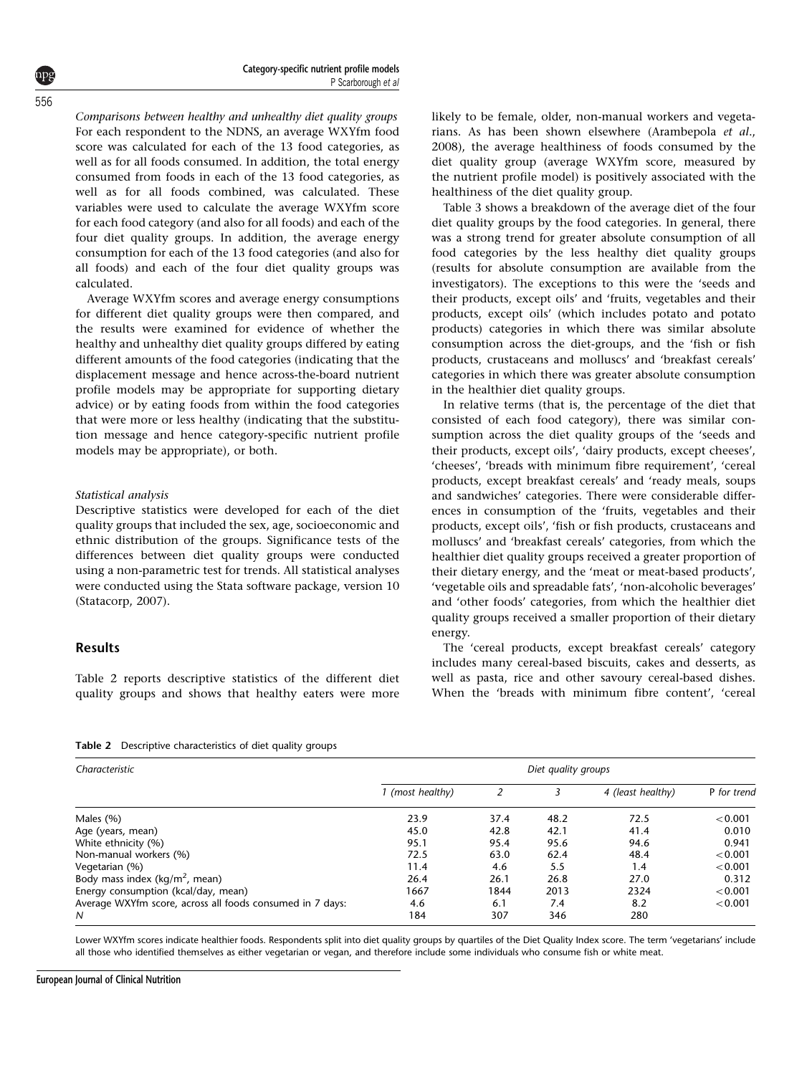Comparisons between healthy and unhealthy diet quality groups For each respondent to the NDNS, an average WXYfm food score was calculated for each of the 13 food categories, as well as for all foods consumed. In addition, the total energy consumed from foods in each of the 13 food categories, as well as for all foods combined, was calculated. These variables were used to calculate the average WXYfm score for each food category (and also for all foods) and each of the four diet quality groups. In addition, the average energy consumption for each of the 13 food categories (and also for all foods) and each of the four diet quality groups was calculated.

Average WXYfm scores and average energy consumptions for different diet quality groups were then compared, and the results were examined for evidence of whether the healthy and unhealthy diet quality groups differed by eating different amounts of the food categories (indicating that the displacement message and hence across-the-board nutrient profile models may be appropriate for supporting dietary advice) or by eating foods from within the food categories that were more or less healthy (indicating that the substitution message and hence category-specific nutrient profile models may be appropriate), or both.

#### Statistical analysis

Descriptive statistics were developed for each of the diet quality groups that included the sex, age, socioeconomic and ethnic distribution of the groups. Significance tests of the differences between diet quality groups were conducted using a non-parametric test for trends. All statistical analyses were conducted using the Stata software package, version 10 ([Statacorp, 2007](#page-7-0)).

### Results

Table 2 reports descriptive statistics of the different diet quality groups and shows that healthy eaters were more likely to be female, older, non-manual workers and vegetarians. As has been shown elsewhere [\(Arambepola](#page-6-0) et al., [2008](#page-6-0)), the average healthiness of foods consumed by the diet quality group (average WXYfm score, measured by the nutrient profile model) is positively associated with the healthiness of the diet quality group.

[Table 3](#page-4-0) shows a breakdown of the average diet of the four diet quality groups by the food categories. In general, there was a strong trend for greater absolute consumption of all food categories by the less healthy diet quality groups (results for absolute consumption are available from the investigators). The exceptions to this were the 'seeds and their products, except oils' and 'fruits, vegetables and their products, except oils' (which includes potato and potato products) categories in which there was similar absolute consumption across the diet-groups, and the 'fish or fish products, crustaceans and molluscs' and 'breakfast cereals' categories in which there was greater absolute consumption in the healthier diet quality groups.

In relative terms (that is, the percentage of the diet that consisted of each food category), there was similar consumption across the diet quality groups of the 'seeds and their products, except oils', 'dairy products, except cheeses', 'cheeses', 'breads with minimum fibre requirement', 'cereal products, except breakfast cereals' and 'ready meals, soups and sandwiches' categories. There were considerable differences in consumption of the 'fruits, vegetables and their products, except oils', 'fish or fish products, crustaceans and molluscs' and 'breakfast cereals' categories, from which the healthier diet quality groups received a greater proportion of their dietary energy, and the 'meat or meat-based products', 'vegetable oils and spreadable fats', 'non-alcoholic beverages' and 'other foods' categories, from which the healthier diet quality groups received a smaller proportion of their dietary energy.

The 'cereal products, except breakfast cereals' category includes many cereal-based biscuits, cakes and desserts, as well as pasta, rice and other savoury cereal-based dishes. When the 'breads with minimum fibre content', 'cereal

| <b>Table 2</b> Descriptive characteristics of diet quality groups |  |  |  |  |
|-------------------------------------------------------------------|--|--|--|--|
|-------------------------------------------------------------------|--|--|--|--|

| Characteristic                                            | Diet quality groups |      |      |                   |             |  |
|-----------------------------------------------------------|---------------------|------|------|-------------------|-------------|--|
|                                                           | 1 (most healthy)    | 2    |      | 4 (least healthy) | P for trend |  |
| Males (%)                                                 | 23.9                | 37.4 | 48.2 | 72.5              | < 0.001     |  |
| Age (years, mean)                                         | 45.0                | 42.8 | 42.1 | 41.4              | 0.010       |  |
| White ethnicity (%)                                       | 95.1                | 95.4 | 95.6 | 94.6              | 0.941       |  |
| Non-manual workers (%)                                    | 72.5                | 63.0 | 62.4 | 48.4              | < 0.001     |  |
| Vegetarian (%)                                            | 11.4                | 4.6  | 5.5  | 1.4               | < 0.001     |  |
| Body mass index ( $\text{kg/m}^2$ , mean)                 | 26.4                | 26.1 | 26.8 | 27.0              | 0.312       |  |
| Energy consumption (kcal/day, mean)                       | 1667                | 1844 | 2013 | 2324              | < 0.001     |  |
| Average WXYfm score, across all foods consumed in 7 days: | 4.6                 | 6.1  | 7.4  | 8.2               | < 0.001     |  |
| N                                                         | 184                 | 307  | 346  | 280               |             |  |

Lower WXYfm scores indicate healthier foods. Respondents split into diet quality groups by quartiles of the Diet Quality Index score. The term 'vegetarians' include all those who identified themselves as either vegetarian or vegan, and therefore include some individuals who consume fish or white meat.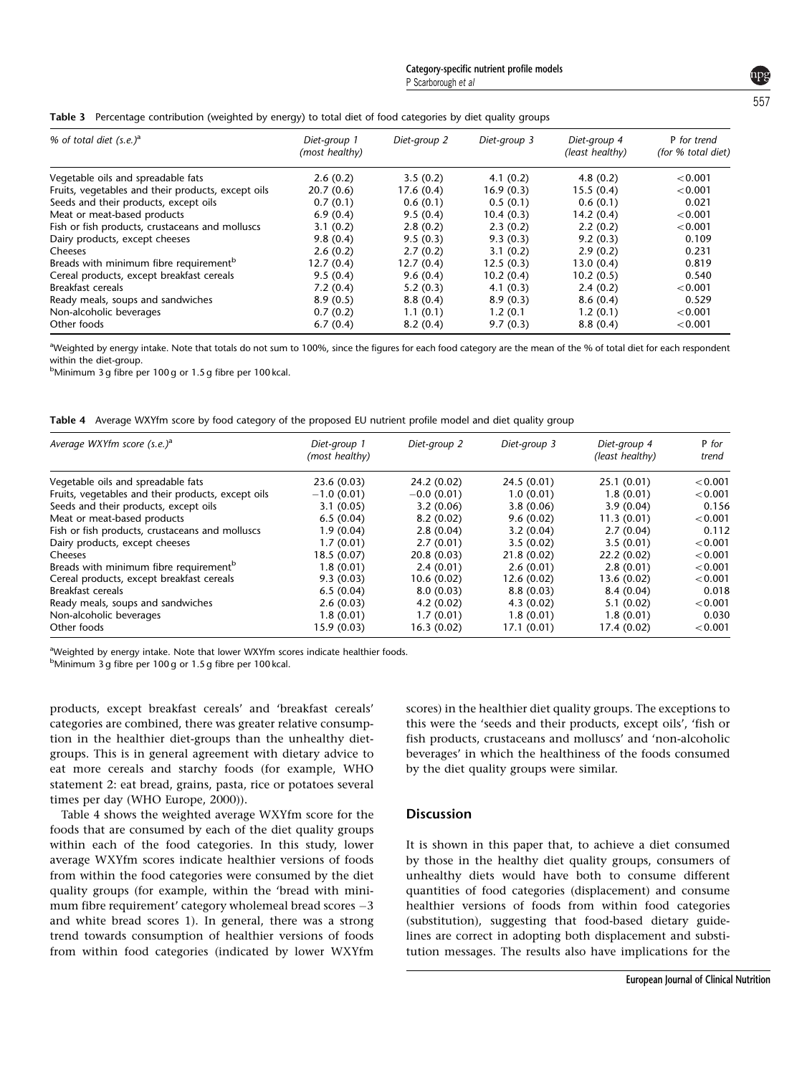<span id="page-4-0"></span>

|  |  |  |  | Table 3 Percentage contribution (weighted by energy) to total diet of food categories by diet quality groups |
|--|--|--|--|--------------------------------------------------------------------------------------------------------------|
|--|--|--|--|--------------------------------------------------------------------------------------------------------------|

| % of total diet $(s.e.)^a$                         | Diet-group 1<br>(most healthy) | Diet-group 2 | Diet-group 3 | Diet-group 4<br>(least healthy) | P for trend<br>(for % total diet) |
|----------------------------------------------------|--------------------------------|--------------|--------------|---------------------------------|-----------------------------------|
| Vegetable oils and spreadable fats                 | 2.6(0.2)                       | 3.5(0.2)     | 4.1(0.2)     | 4.8(0.2)                        | < 0.001                           |
| Fruits, vegetables and their products, except oils | 20.7(0.6)                      | 17.6(0.4)    | 16.9(0.3)    | 15.5(0.4)                       | < 0.001                           |
| Seeds and their products, except oils              | 0.7(0.1)                       | 0.6(0.1)     | 0.5(0.1)     | 0.6(0.1)                        | 0.021                             |
| Meat or meat-based products                        | 6.9(0.4)                       | 9.5(0.4)     | 10.4(0.3)    | 14.2(0.4)                       | < 0.001                           |
| Fish or fish products, crustaceans and molluscs    | 3.1(0.2)                       | 2.8(0.2)     | 2.3(0.2)     | 2.2(0.2)                        | < 0.001                           |
| Dairy products, except cheeses                     | 9.8(0.4)                       | 9.5(0.3)     | 9.3(0.3)     | 9.2(0.3)                        | 0.109                             |
| Cheeses                                            | 2.6(0.2)                       | 2.7(0.2)     | 3.1(0.2)     | 2.9(0.2)                        | 0.231                             |
| Breads with minimum fibre requirement <sup>b</sup> | 12.7(0.4)                      | 12.7(0.4)    | 12.5(0.3)    | 13.0(0.4)                       | 0.819                             |
| Cereal products, except breakfast cereals          | 9.5(0.4)                       | 9.6(0.4)     | 10.2(0.4)    | 10.2(0.5)                       | 0.540                             |
| Breakfast cereals                                  | 7.2(0.4)                       | 5.2(0.3)     | 4.1(0.3)     | 2.4(0.2)                        | < 0.001                           |
| Ready meals, soups and sandwiches                  | 8.9(0.5)                       | 8.8(0.4)     | 8.9(0.3)     | 8.6(0.4)                        | 0.529                             |
| Non-alcoholic beverages                            | 0.7(0.2)                       | 1.1(0.1)     | 1.2(0.1)     | 1.2(0.1)                        | < 0.001                           |
| Other foods                                        | 6.7(0.4)                       | 8.2(0.4)     | 9.7(0.3)     | 8.8(0.4)                        | < 0.001                           |

a Weighted by energy intake. Note that totals do not sum to 100%, since the figures for each food category are the mean of the % of total diet for each respondent within the diet-group.

<sup>b</sup>Minimum 3 g fibre per 100 g or 1.5 g fibre per 100 kcal.

Table 4 Average WXYfm score by food category of the proposed EU nutrient profile model and diet quality group

| Average WXYfm score $(s.e.)^a$                     | Diet-group 1<br>(most healthy) | Diet-group 2 | Diet-group 3 | Diet-group 4<br>(least healthy) | P for<br>trend |
|----------------------------------------------------|--------------------------------|--------------|--------------|---------------------------------|----------------|
| Vegetable oils and spreadable fats                 | 23.6(0.03)                     | 24.2 (0.02)  | 24.5 (0.01)  | 25.1(0.01)                      | < 0.001        |
| Fruits, vegetables and their products, except oils | $-1.0(0.01)$                   | $-0.0(0.01)$ | 1.0(0.01)    | 1.8(0.01)                       | < 0.001        |
| Seeds and their products, except oils              | 3.1(0.05)                      | 3.2(0.06)    | 3.8(0.06)    | 3.9(0.04)                       | 0.156          |
| Meat or meat-based products                        | 6.5(0.04)                      | 8.2(0.02)    | 9.6(0.02)    | 11.3(0.01)                      | < 0.001        |
| Fish or fish products, crustaceans and molluscs    | 1.9(0.04)                      | 2.8(0.04)    | 3.2(0.04)    | 2.7(0.04)                       | 0.112          |
| Dairy products, except cheeses                     | 1.7(0.01)                      | 2.7(0.01)    | 3.5(0.02)    | 3.5(0.01)                       | < 0.001        |
| Cheeses                                            | 18.5(0.07)                     | 20.8(0.03)   | 21.8(0.02)   | 22.2(0.02)                      | < 0.001        |
| Breads with minimum fibre requirement <sup>b</sup> | 1.8(0.01)                      | 2.4(0.01)    | 2.6(0.01)    | 2.8(0.01)                       | < 0.001        |
| Cereal products, except breakfast cereals          | 9.3(0.03)                      | 10.6(0.02)   | 12.6(0.02)   | 13.6 (0.02)                     | < 0.001        |
| <b>Breakfast cereals</b>                           | 6.5(0.04)                      | 8.0(0.03)    | 8.8(0.03)    | 8.4(0.04)                       | 0.018          |
| Ready meals, soups and sandwiches                  | 2.6(0.03)                      | 4.2(0.02)    | 4.3(0.02)    | 5.1(0.02)                       | < 0.001        |
| Non-alcoholic beverages                            | 1.8(0.01)                      | 1.7(0.01)    | 1.8(0.01)    | 1.8(0.01)                       | 0.030          |
| Other foods                                        | 15.9(0.03)                     | 16.3 (0.02)  | 17.1(0.01)   | 17.4 (0.02)                     | < 0.001        |

<sup>a</sup>Weighted by energy intake. Note that lower WXYfm scores indicate healthier foods. <sup>b</sup>Minimum 3 g fibre per 100 g or 1.5 g fibre per 100 kcal.

products, except breakfast cereals' and 'breakfast cereals' categories are combined, there was greater relative consumption in the healthier diet-groups than the unhealthy dietgroups. This is in general agreement with dietary advice to eat more cereals and starchy foods (for example, WHO statement 2: eat bread, grains, pasta, rice or potatoes several times per day ([WHO Europe, 2000](#page-7-0))).

Table 4 shows the weighted average WXYfm score for the foods that are consumed by each of the diet quality groups within each of the food categories. In this study, lower average WXYfm scores indicate healthier versions of foods from within the food categories were consumed by the diet quality groups (for example, within the 'bread with minimum fibre requirement' category wholemeal bread scores -3 and white bread scores 1). In general, there was a strong trend towards consumption of healthier versions of foods from within food categories (indicated by lower WXYfm scores) in the healthier diet quality groups. The exceptions to this were the 'seeds and their products, except oils', 'fish or fish products, crustaceans and molluscs' and 'non-alcoholic beverages' in which the healthiness of the foods consumed by the diet quality groups were similar.

# Discussion

It is shown in this paper that, to achieve a diet consumed by those in the healthy diet quality groups, consumers of unhealthy diets would have both to consume different quantities of food categories (displacement) and consume healthier versions of foods from within food categories (substitution), suggesting that food-based dietary guidelines are correct in adopting both displacement and substitution messages. The results also have implications for the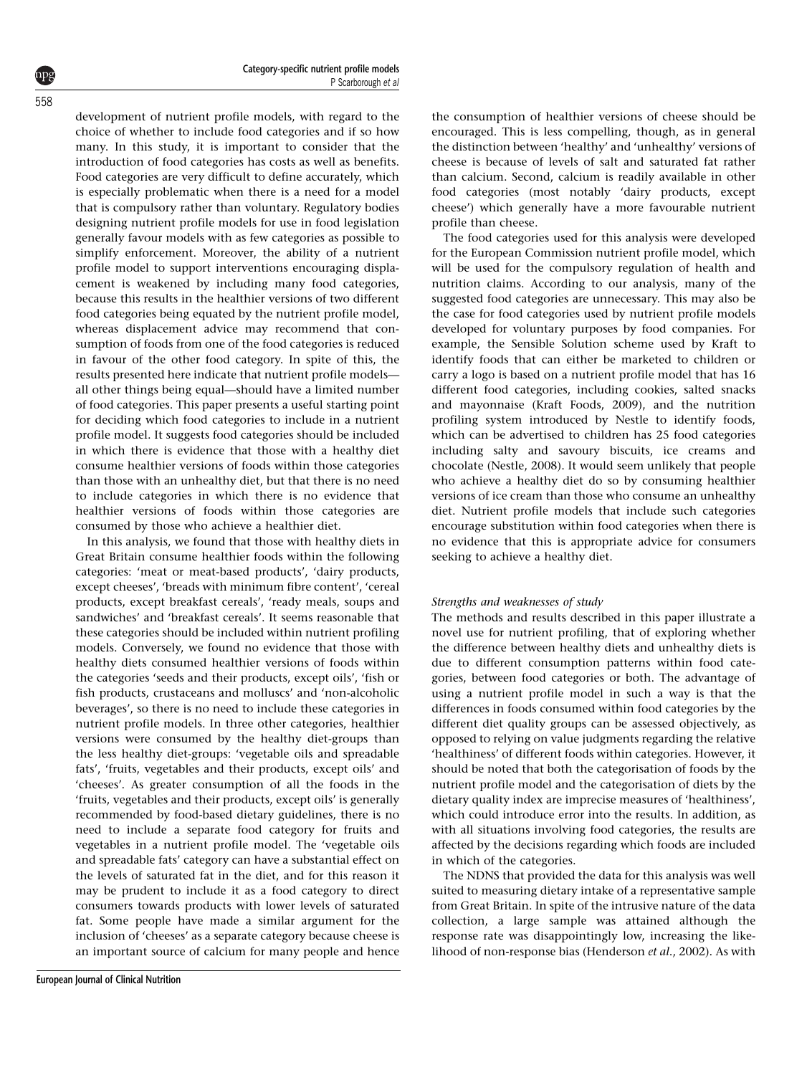development of nutrient profile models, with regard to the choice of whether to include food categories and if so how many. In this study, it is important to consider that the introduction of food categories has costs as well as benefits. Food categories are very difficult to define accurately, which is especially problematic when there is a need for a model that is compulsory rather than voluntary. Regulatory bodies designing nutrient profile models for use in food legislation generally favour models with as few categories as possible to simplify enforcement. Moreover, the ability of a nutrient profile model to support interventions encouraging displacement is weakened by including many food categories, because this results in the healthier versions of two different food categories being equated by the nutrient profile model, whereas displacement advice may recommend that consumption of foods from one of the food categories is reduced in favour of the other food category. In spite of this, the results presented here indicate that nutrient profile models all other things being equal—should have a limited number of food categories. This paper presents a useful starting point for deciding which food categories to include in a nutrient profile model. It suggests food categories should be included in which there is evidence that those with a healthy diet consume healthier versions of foods within those categories than those with an unhealthy diet, but that there is no need to include categories in which there is no evidence that healthier versions of foods within those categories are consumed by those who achieve a healthier diet.

In this analysis, we found that those with healthy diets in Great Britain consume healthier foods within the following categories: 'meat or meat-based products', 'dairy products, except cheeses', 'breads with minimum fibre content', 'cereal products, except breakfast cereals', 'ready meals, soups and sandwiches' and 'breakfast cereals'. It seems reasonable that these categories should be included within nutrient profiling models. Conversely, we found no evidence that those with healthy diets consumed healthier versions of foods within the categories 'seeds and their products, except oils', 'fish or fish products, crustaceans and molluscs' and 'non-alcoholic beverages', so there is no need to include these categories in nutrient profile models. In three other categories, healthier versions were consumed by the healthy diet-groups than the less healthy diet-groups: 'vegetable oils and spreadable fats', 'fruits, vegetables and their products, except oils' and 'cheeses'. As greater consumption of all the foods in the 'fruits, vegetables and their products, except oils' is generally recommended by food-based dietary guidelines, there is no need to include a separate food category for fruits and vegetables in a nutrient profile model. The 'vegetable oils and spreadable fats' category can have a substantial effect on the levels of saturated fat in the diet, and for this reason it may be prudent to include it as a food category to direct consumers towards products with lower levels of saturated fat. Some people have made a similar argument for the inclusion of 'cheeses' as a separate category because cheese is an important source of calcium for many people and hence the consumption of healthier versions of cheese should be encouraged. This is less compelling, though, as in general the distinction between 'healthy' and 'unhealthy' versions of cheese is because of levels of salt and saturated fat rather than calcium. Second, calcium is readily available in other food categories (most notably 'dairy products, except cheese') which generally have a more favourable nutrient profile than cheese.

The food categories used for this analysis were developed for the European Commission nutrient profile model, which will be used for the compulsory regulation of health and nutrition claims. According to our analysis, many of the suggested food categories are unnecessary. This may also be the case for food categories used by nutrient profile models developed for voluntary purposes by food companies. For example, the Sensible Solution scheme used by Kraft to identify foods that can either be marketed to children or carry a logo is based on a nutrient profile model that has 16 different food categories, including cookies, salted snacks and mayonnaise ([Kraft Foods, 2009](#page-6-0)), and the nutrition profiling system introduced by Nestle to identify foods, which can be advertised to children has 25 food categories including salty and savoury biscuits, ice creams and chocolate ([Nestle, 2008](#page-7-0)). It would seem unlikely that people who achieve a healthy diet do so by consuming healthier versions of ice cream than those who consume an unhealthy diet. Nutrient profile models that include such categories encourage substitution within food categories when there is no evidence that this is appropriate advice for consumers seeking to achieve a healthy diet.

#### Strengths and weaknesses of study

The methods and results described in this paper illustrate a novel use for nutrient profiling, that of exploring whether the difference between healthy diets and unhealthy diets is due to different consumption patterns within food categories, between food categories or both. The advantage of using a nutrient profile model in such a way is that the differences in foods consumed within food categories by the different diet quality groups can be assessed objectively, as opposed to relying on value judgments regarding the relative 'healthiness' of different foods within categories. However, it should be noted that both the categorisation of foods by the nutrient profile model and the categorisation of diets by the dietary quality index are imprecise measures of 'healthiness', which could introduce error into the results. In addition, as with all situations involving food categories, the results are affected by the decisions regarding which foods are included in which of the categories.

The NDNS that provided the data for this analysis was well suited to measuring dietary intake of a representative sample from Great Britain. In spite of the intrusive nature of the data collection, a large sample was attained although the response rate was disappointingly low, increasing the likelihood of non-response bias [\(Henderson](#page-6-0) et al., 2002). As with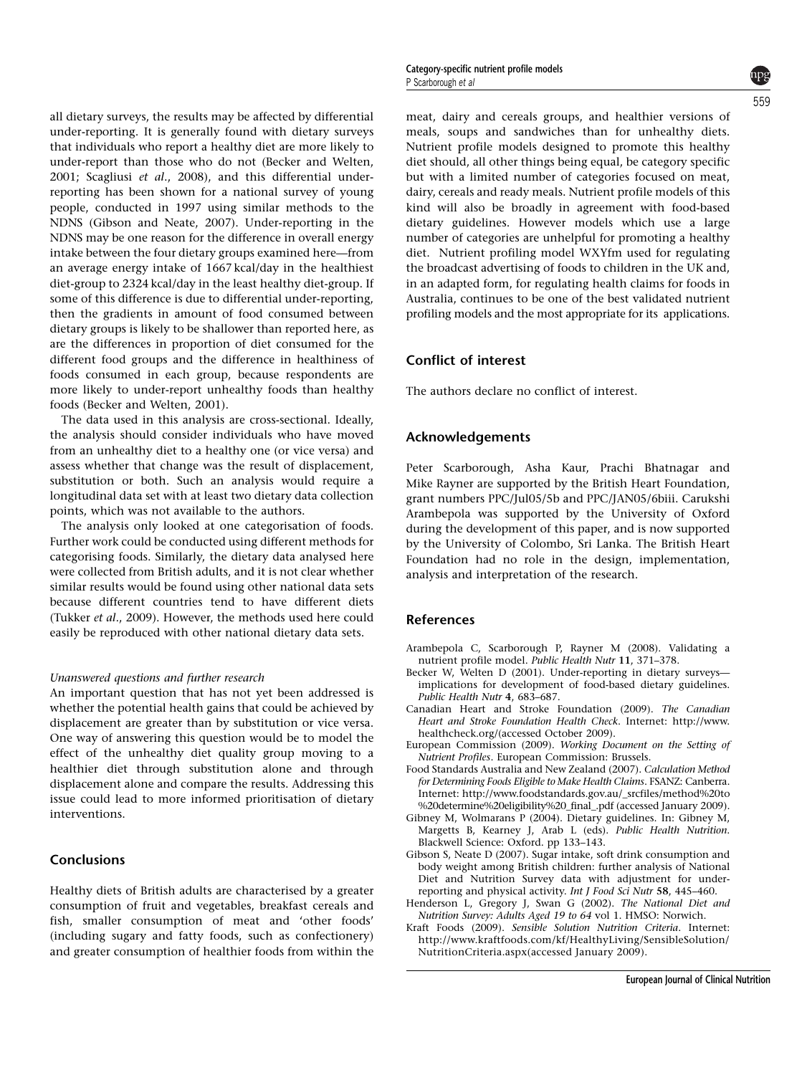<span id="page-6-0"></span>all dietary surveys, the results may be affected by differential under-reporting. It is generally found with dietary surveys that individuals who report a healthy diet are more likely to under-report than those who do not (Becker and Welten, 2001; [Scagliusi](#page-7-0) et al., 2008), and this differential underreporting has been shown for a national survey of young people, conducted in 1997 using similar methods to the NDNS (Gibson and Neate, 2007). Under-reporting in the NDNS may be one reason for the difference in overall energy intake between the four dietary groups examined here—from an average energy intake of 1667 kcal/day in the healthiest diet-group to 2324 kcal/day in the least healthy diet-group. If some of this difference is due to differential under-reporting, then the gradients in amount of food consumed between dietary groups is likely to be shallower than reported here, as are the differences in proportion of diet consumed for the different food groups and the difference in healthiness of foods consumed in each group, because respondents are more likely to under-report unhealthy foods than healthy foods (Becker and Welten, 2001).

The data used in this analysis are cross-sectional. Ideally, the analysis should consider individuals who have moved from an unhealthy diet to a healthy one (or vice versa) and assess whether that change was the result of displacement, substitution or both. Such an analysis would require a longitudinal data set with at least two dietary data collection points, which was not available to the authors.

The analysis only looked at one categorisation of foods. Further work could be conducted using different methods for categorising foods. Similarly, the dietary data analysed here were collected from British adults, and it is not clear whether similar results would be found using other national data sets because different countries tend to have different diets ([Tukker](#page-7-0) et al., 2009). However, the methods used here could easily be reproduced with other national dietary data sets.

#### Unanswered questions and further research

An important question that has not yet been addressed is whether the potential health gains that could be achieved by displacement are greater than by substitution or vice versa. One way of answering this question would be to model the effect of the unhealthy diet quality group moving to a healthier diet through substitution alone and through displacement alone and compare the results. Addressing this issue could lead to more informed prioritisation of dietary interventions.

## Conclusions

Healthy diets of British adults are characterised by a greater consumption of fruit and vegetables, breakfast cereals and fish, smaller consumption of meat and 'other foods' (including sugary and fatty foods, such as confectionery) and greater consumption of healthier foods from within the meat, dairy and cereals groups, and healthier versions of meals, soups and sandwiches than for unhealthy diets. Nutrient profile models designed to promote this healthy diet should, all other things being equal, be category specific but with a limited number of categories focused on meat, dairy, cereals and ready meals. Nutrient profile models of this kind will also be broadly in agreement with food-based dietary guidelines. However models which use a large number of categories are unhelpful for promoting a healthy diet. Nutrient profiling model WXYfm used for regulating the broadcast advertising of foods to children in the UK and, in an adapted form, for regulating health claims for foods in Australia, continues to be one of the best validated nutrient profiling models and the most appropriate for its applications.

### Conflict of interest

The authors declare no conflict of interest.

#### Acknowledgements

Peter Scarborough, Asha Kaur, Prachi Bhatnagar and Mike Rayner are supported by the British Heart Foundation, grant numbers PPC/Jul05/5b and PPC/JAN05/6biii. Carukshi Arambepola was supported by the University of Oxford during the development of this paper, and is now supported by the University of Colombo, Sri Lanka. The British Heart Foundation had no role in the design, implementation, analysis and interpretation of the research.

#### References

- Arambepola C, Scarborough P, Rayner M (2008). Validating a nutrient profile model. Public Health Nutr 11, 371–378.
- Becker W, Welten D (2001). Under-reporting in dietary surveys implications for development of food-based dietary guidelines. Public Health Nutr 4, 683–687.
- Canadian Heart and Stroke Foundation (2009). The Canadian Heart and Stroke Foundation Health Check. Internet: [http://www.](http://www.healthcheck.org/) [healthcheck.org/\(](http://www.healthcheck.org/)accessed October 2009).
- European Commission (2009). Working Document on the Setting of Nutrient Profiles. European Commission: Brussels.
- Food Standards Australia and New Zealand (2007). Calculation Method for Determining Foods Eligible to Make Health Claims. FSANZ: Canberra. Internet: [http://www.foodstandards.gov.au/\\_srcfiles/method%20to](http://www.foodstandards.gov.au/_srcfiles/method%20to%20determine%20eligibility%20_final_.pdf) [%20determine%20eligibility%20\\_final\\_.pdf](http://www.foodstandards.gov.au/_srcfiles/method%20to%20determine%20eligibility%20_final_.pdf) (accessed January 2009).
- Gibney M, Wolmarans P (2004). Dietary guidelines. In: Gibney M, Margetts B, Kearney J, Arab L (eds). Public Health Nutrition. Blackwell Science: Oxford. pp 133–143.
- Gibson S, Neate D (2007). Sugar intake, soft drink consumption and body weight among British children: further analysis of National Diet and Nutrition Survey data with adjustment for underreporting and physical activity. Int J Food Sci Nutr 58, 445–460.
- Henderson L, Gregory J, Swan G (2002). The National Diet and Nutrition Survey: Adults Aged 19 to 64 vol 1. HMSO: Norwich.
- Kraft Foods (2009). Sensible Solution Nutrition Criteria. Internet: [http://www.kraftfoods.com/kf/HealthyLiving/SensibleSolution/](http://www.kraftfoods.com/kf/HealthyLiving/SensibleSolution/NutritionCriteria.aspx) [NutritionCriteria.aspx](http://www.kraftfoods.com/kf/HealthyLiving/SensibleSolution/NutritionCriteria.aspx)(accessed January 2009).

European Journal of Clinical Nutrition